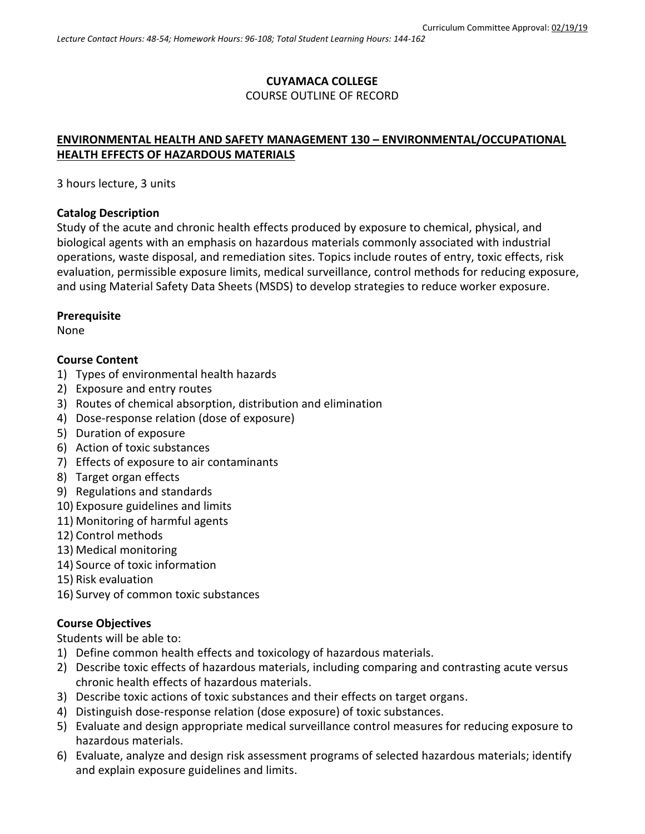## **CUYAMACA COLLEGE** COURSE OUTLINE OF RECORD

# **ENVIRONMENTAL HEALTH AND SAFETY MANAGEMENT 130 – ENVIRONMENTAL/OCCUPATIONAL HEALTH EFFECTS OF HAZARDOUS MATERIALS**

3 hours lecture, 3 units

#### **Catalog Description**

Study of the acute and chronic health effects produced by exposure to chemical, physical, and biological agents with an emphasis on hazardous materials commonly associated with industrial operations, waste disposal, and remediation sites. Topics include routes of entry, toxic effects, risk evaluation, permissible exposure limits, medical surveillance, control methods for reducing exposure, and using Material Safety Data Sheets (MSDS) to develop strategies to reduce worker exposure.

#### **Prerequisite**

None

### **Course Content**

- 1) Types of environmental health hazards
- 2) Exposure and entry routes
- 3) Routes of chemical absorption, distribution and elimination
- 4) Dose-response relation (dose of exposure)
- 5) Duration of exposure
- 6) Action of toxic substances
- 7) Effects of exposure to air contaminants
- 8) Target organ effects
- 9) Regulations and standards
- 10) Exposure guidelines and limits
- 11) Monitoring of harmful agents
- 12) Control methods
- 13) Medical monitoring
- 14) Source of toxic information
- 15) Risk evaluation
- 16) Survey of common toxic substances

### **Course Objectives**

Students will be able to:

- 1) Define common health effects and toxicology of hazardous materials.
- 2) Describe toxic effects of hazardous materials, including comparing and contrasting acute versus chronic health effects of hazardous materials.
- 3) Describe toxic actions of toxic substances and their effects on target organs.
- 4) Distinguish dose-response relation (dose exposure) of toxic substances.
- 5) Evaluate and design appropriate medical surveillance control measures for reducing exposure to hazardous materials.
- 6) Evaluate, analyze and design risk assessment programs of selected hazardous materials; identify and explain exposure guidelines and limits.